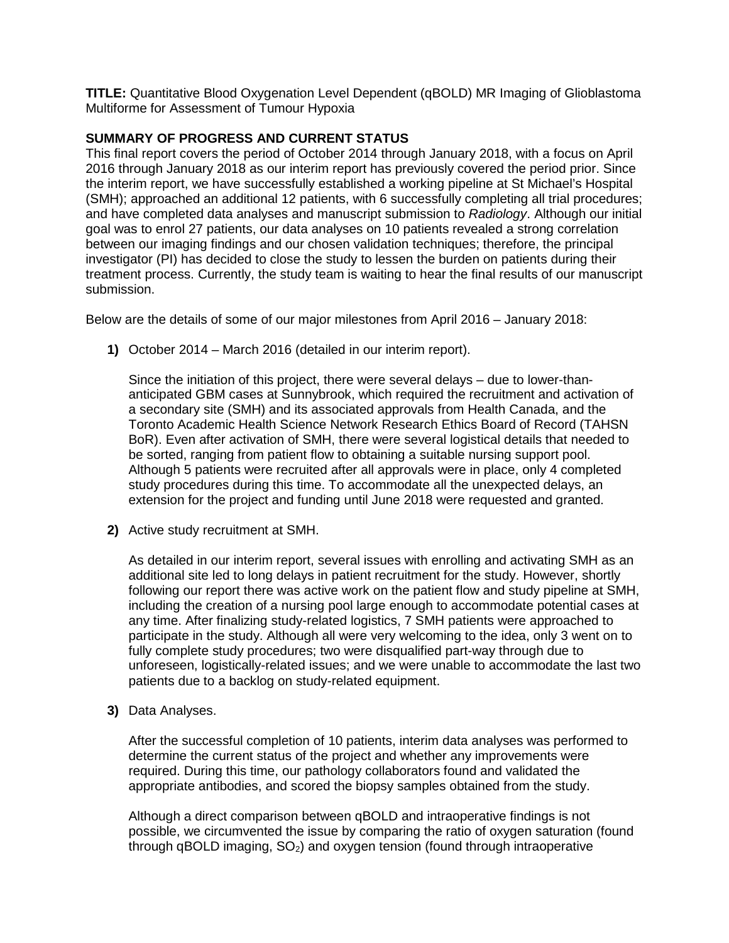**TITLE:** Quantitative Blood Oxygenation Level Dependent (qBOLD) MR Imaging of Glioblastoma Multiforme for Assessment of Tumour Hypoxia

## **SUMMARY OF PROGRESS AND CURRENT STATUS**

This final report covers the period of October 2014 through January 2018, with a focus on April 2016 through January 2018 as our interim report has previously covered the period prior. Since the interim report, we have successfully established a working pipeline at St Michael's Hospital (SMH); approached an additional 12 patients, with 6 successfully completing all trial procedures; and have completed data analyses and manuscript submission to *Radiology*. Although our initial goal was to enrol 27 patients, our data analyses on 10 patients revealed a strong correlation between our imaging findings and our chosen validation techniques; therefore, the principal investigator (PI) has decided to close the study to lessen the burden on patients during their treatment process. Currently, the study team is waiting to hear the final results of our manuscript submission.

Below are the details of some of our major milestones from April 2016 – January 2018:

**1)** October 2014 – March 2016 (detailed in our interim report).

Since the initiation of this project, there were several delays – due to lower-thananticipated GBM cases at Sunnybrook, which required the recruitment and activation of a secondary site (SMH) and its associated approvals from Health Canada, and the Toronto Academic Health Science Network Research Ethics Board of Record (TAHSN BoR). Even after activation of SMH, there were several logistical details that needed to be sorted, ranging from patient flow to obtaining a suitable nursing support pool. Although 5 patients were recruited after all approvals were in place, only 4 completed study procedures during this time. To accommodate all the unexpected delays, an extension for the project and funding until June 2018 were requested and granted.

**2)** Active study recruitment at SMH.

As detailed in our interim report, several issues with enrolling and activating SMH as an additional site led to long delays in patient recruitment for the study. However, shortly following our report there was active work on the patient flow and study pipeline at SMH, including the creation of a nursing pool large enough to accommodate potential cases at any time. After finalizing study-related logistics, 7 SMH patients were approached to participate in the study. Although all were very welcoming to the idea, only 3 went on to fully complete study procedures; two were disqualified part-way through due to unforeseen, logistically-related issues; and we were unable to accommodate the last two patients due to a backlog on study-related equipment.

**3)** Data Analyses.

After the successful completion of 10 patients, interim data analyses was performed to determine the current status of the project and whether any improvements were required. During this time, our pathology collaborators found and validated the appropriate antibodies, and scored the biopsy samples obtained from the study.

Although a direct comparison between qBOLD and intraoperative findings is not possible, we circumvented the issue by comparing the ratio of oxygen saturation (found through qBOLD imaging,  $SO<sub>2</sub>$ ) and oxygen tension (found through intraoperative